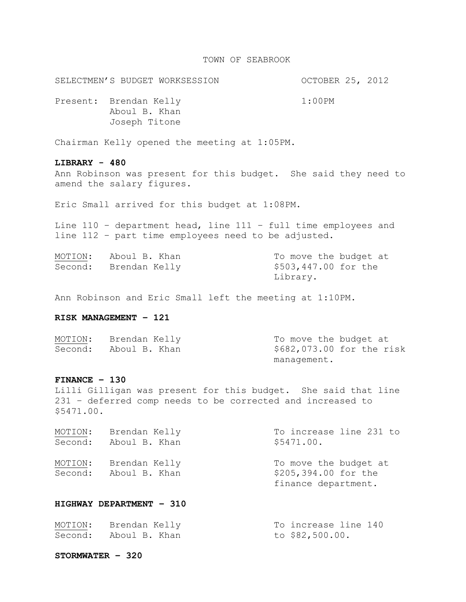#### TOWN OF SEABROOK

SELECTMEN'S BUDGET WORKSESSION OCTOBER 25, 2012

Present: Brendan Kelly 1:00PM Aboul B. Khan Joseph Titone

Chairman Kelly opened the meeting at 1:05PM.

### **LIBRARY - 480**

Ann Robinson was present for this budget. She said they need to amend the salary figures.

Eric Small arrived for this budget at 1:08PM.

Line 110 – department head, line 111 – full time employees and line 112 – part time employees need to be adjusted.

| MOTION: Aboul B. Khan | To move the budget at |
|-----------------------|-----------------------|
| Second: Brendan Kelly | \$503,447.00 for the  |
|                       | Library.              |

Ann Robinson and Eric Small left the meeting at 1:10PM.

## **RISK MANAGEMENT – 121**

| MOTION: | Brendan Kelly | To move the budget at     |
|---------|---------------|---------------------------|
| Second: | Aboul B. Khan | \$682,073.00 for the risk |
|         |               | management.               |

#### **FINANCE – 130**

Lilli Gilligan was present for this budget. She said that line 231 – deferred comp needs to be corrected and increased to \$5471.00.

| MOTION:<br>Second: | Brendan Kelly<br>Aboul B. Khan | To increase line 231 to<br>\$5471.00. |
|--------------------|--------------------------------|---------------------------------------|
| MOTION:            | Brendan Kelly                  | To move the budget at                 |
|                    |                                |                                       |
| Second:            | Aboul B. Khan                  | \$205,394.00 for the                  |
|                    |                                | finance department.                   |

## **HIGHWAY DEPARTMENT – 310**

| MOTION: | Brendan Kelly         | To increase line 140 |  |
|---------|-----------------------|----------------------|--|
|         | Second: Aboul B. Khan | to \$82,500.00.      |  |

#### **STORMWATER – 320**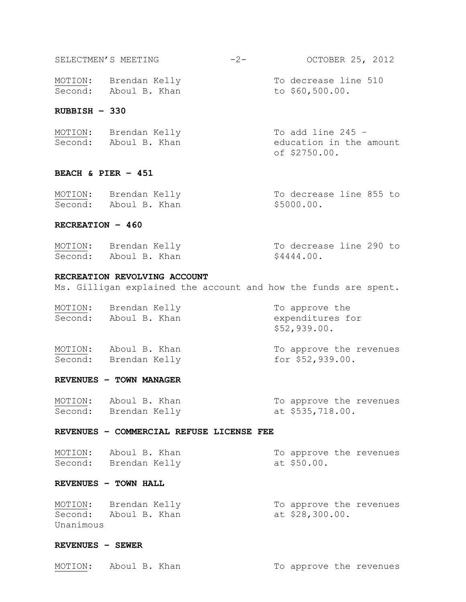| Second: | Aboul B. Khan | to $$60,500.00.$     |
|---------|---------------|----------------------|
| MOTION: | Brendan Kelly | To decrease line 510 |

# **RUBBISH – 330**

| MOTION: Brendan Kelly | To add line 245 $-$     |
|-----------------------|-------------------------|
| Second: Aboul B. Khan | education in the amount |
|                       | of \$2750.00.           |

# **BEACH & PIER – 451**

| MOTION: | Brendan Kelly         | To decrease line 855 to |
|---------|-----------------------|-------------------------|
|         | Second: Aboul B. Khan | \$5000.00.              |

## **RECREATION – 460**

| MOTION: Brendan Kelly | To decrease line 290 to |
|-----------------------|-------------------------|
| Second: Aboul B. Khan | \$4444.00.              |

# **RECREATION REVOLVING ACCOUNT**

Ms. Gilligan explained the account and how the funds are spent.

| MOTION:<br>Second: | Brendan Kelly<br>Aboul B. Khan | To approve the<br>expenditures for<br>\$52,939.00. |
|--------------------|--------------------------------|----------------------------------------------------|
| MOTION:            | Aboul B. Khan                  | To approve the revenues                            |
| Second:            | Brendan Kelly                  | for $$52,939.00.$                                  |

# **REVENUES – TOWN MANAGER**

| MOTION: | Aboul B. Khan         | To approve the revenues |
|---------|-----------------------|-------------------------|
|         | Second: Brendan Kelly | at \$535,718.00.        |

#### **REVENUES – COMMERCIAL REFUSE LICENSE FEE**

| MOTION: Aboul B. Khan |             | To approve the revenues |
|-----------------------|-------------|-------------------------|
| Second: Brendan Kelly | at \$50.00. |                         |

# **REVENUES – TOWN HALL**

| MOTION:   | Brendan Kelly |                 | To approve the revenues |
|-----------|---------------|-----------------|-------------------------|
| Second:   | Aboul B. Khan | at \$28,300.00. |                         |
| Unanimous |               |                 |                         |

# **REVENUES – SEWER**

|  | MOTION: Aboul B. Khan | To approve the revenues |
|--|-----------------------|-------------------------|
|--|-----------------------|-------------------------|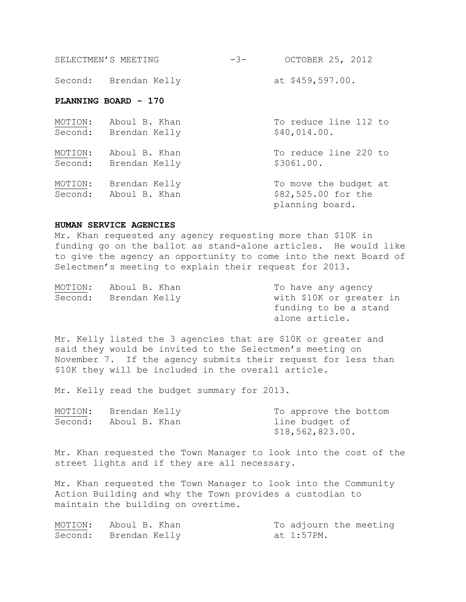| SELECTMEN'S MEETING | OCTOBER 25, 2012<br>$-3-$ |  |
|---------------------|---------------------------|--|
|                     |                           |  |

Second: Brendan Kelly at \$459,597.00.

## **PLANNING BOARD - 170**

| MOTION: | Aboul B. Khan                          | To reduce line 112 to                                           |
|---------|----------------------------------------|-----------------------------------------------------------------|
|         | Second: Brendan Kelly                  | \$40,014.00.                                                    |
| MOTION: | Aboul B. Khan<br>Second: Brendan Kelly | To reduce line 220 to<br>\$3061.00.                             |
| MOTION: | Brendan Kelly<br>Second: Aboul B. Khan | To move the budget at<br>\$82,525.00 for the<br>planning board. |

#### **HUMAN SERVICE AGENCIES**

Mr. Khan requested any agency requesting more than \$10K in funding go on the ballot as stand-alone articles. He would like to give the agency an opportunity to come into the next Board of Selectmen's meeting to explain their request for 2013.

| MOTION: | Aboul B. Khan | To have any agency       |
|---------|---------------|--------------------------|
| Second: | Brendan Kelly | with \$10K or greater in |
|         |               | funding to be a stand    |
|         |               | alone article.           |

Mr. Kelly listed the 3 agencies that are \$10K or greater and said they would be invited to the Selectmen's meeting on November 7. If the agency submits their request for less than \$10K they will be included in the overall article.

Mr. Kelly read the budget summary for 2013.

|  | MOTION: Brendan Kelly | To approve the bottom |  |  |  |
|--|-----------------------|-----------------------|--|--|--|
|  | Second: Aboul B. Khan | line budget of        |  |  |  |
|  |                       | \$18,562,823.00.      |  |  |  |

Mr. Khan requested the Town Manager to look into the cost of the street lights and if they are all necessary.

Mr. Khan requested the Town Manager to look into the Community Action Building and why the Town provides a custodian to maintain the building on overtime.

| MOTION: Aboul B. Khan | To adjourn the meeting |  |
|-----------------------|------------------------|--|
| Second: Brendan Kelly | at 1:57PM.             |  |